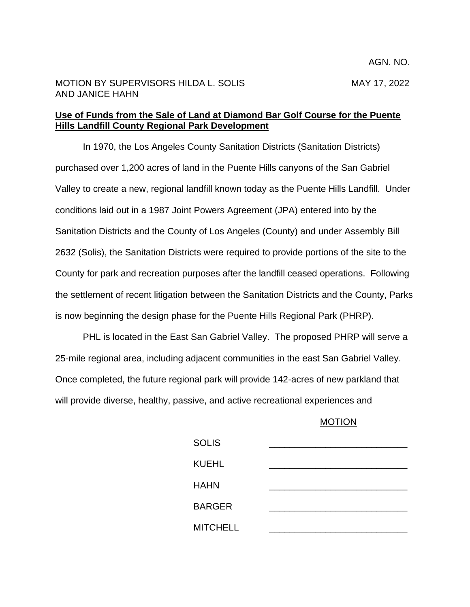## MOTION BY SUPERVISORS HILDA L. SOLIS MAY 17, 2022 AND JANICE HAHN

## **Use of Funds from the Sale of Land at Diamond Bar Golf Course for the Puente Hills Landfill County Regional Park Development**

In 1970, the Los Angeles County Sanitation Districts (Sanitation Districts) purchased over 1,200 acres of land in the Puente Hills canyons of the San Gabriel Valley to create a new, regional landfill known today as the Puente Hills Landfill. Under conditions laid out in a 1987 Joint Powers Agreement (JPA) entered into by the Sanitation Districts and the County of Los Angeles (County) and under Assembly Bill 2632 (Solis), the Sanitation Districts were required to provide portions of the site to the County for park and recreation purposes after the landfill ceased operations. Following the settlement of recent litigation between the Sanitation Districts and the County, Parks is now beginning the design phase for the Puente Hills Regional Park (PHRP).

PHL is located in the East San Gabriel Valley. The proposed PHRP will serve a 25-mile regional area, including adjacent communities in the east San Gabriel Valley. Once completed, the future regional park will provide 142-acres of new parkland that will provide diverse, healthy, passive, and active recreational experiences and

## MOTION

| <b>SOLIS</b>    |  |
|-----------------|--|
| <b>KUEHL</b>    |  |
| <b>HAHN</b>     |  |
| <b>BARGER</b>   |  |
| <b>MITCHELL</b> |  |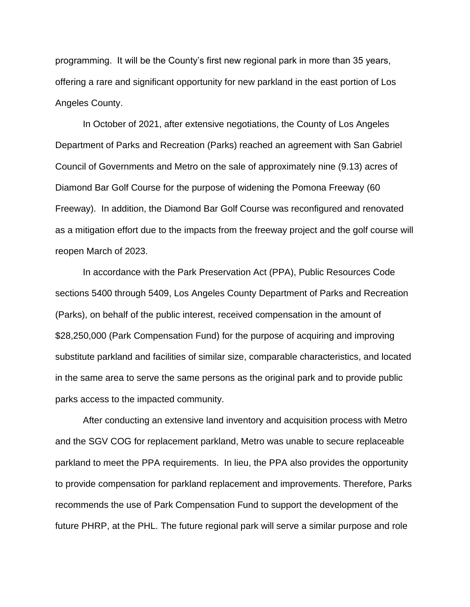programming. It will be the County's first new regional park in more than 35 years, offering a rare and significant opportunity for new parkland in the east portion of Los Angeles County.

In October of 2021, after extensive negotiations, the County of Los Angeles Department of Parks and Recreation (Parks) reached an agreement with San Gabriel Council of Governments and Metro on the sale of approximately nine (9.13) acres of Diamond Bar Golf Course for the purpose of widening the Pomona Freeway (60 Freeway). In addition, the Diamond Bar Golf Course was reconfigured and renovated as a mitigation effort due to the impacts from the freeway project and the golf course will reopen March of 2023.

In accordance with the Park Preservation Act (PPA), Public Resources Code sections 5400 through 5409, Los Angeles County Department of Parks and Recreation (Parks), on behalf of the public interest, received compensation in the amount of \$28,250,000 (Park Compensation Fund) for the purpose of acquiring and improving substitute parkland and facilities of similar size, comparable characteristics, and located in the same area to serve the same persons as the original park and to provide public parks access to the impacted community.

After conducting an extensive land inventory and acquisition process with Metro and the SGV COG for replacement parkland, Metro was unable to secure replaceable parkland to meet the PPA requirements. In lieu, the PPA also provides the opportunity to provide compensation for parkland replacement and improvements. Therefore, Parks recommends the use of Park Compensation Fund to support the development of the future PHRP, at the PHL. The future regional park will serve a similar purpose and role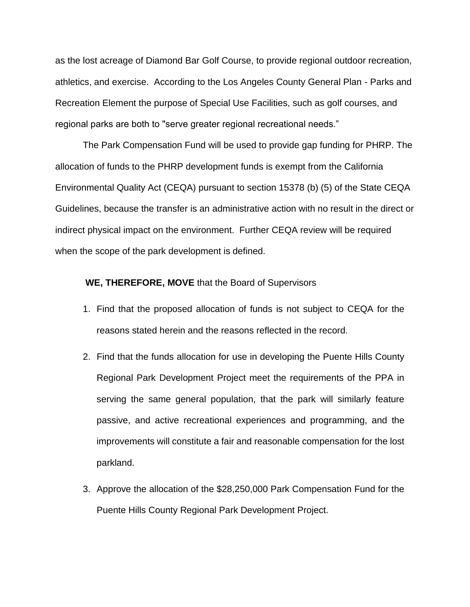as the lost acreage of Diamond Bar Golf Course, to provide regional outdoor recreation, athletics, and exercise. According to the Los Angeles County General Plan - Parks and Recreation Element the purpose of Special Use Facilities, such as golf courses, and regional parks are both to "serve greater regional recreational needs."

The Park Compensation Fund will be used to provide gap funding for PHRP. The allocation of funds to the PHRP development funds is exempt from the California Environmental Quality Act (CEQA) pursuant to section 15378 (b) (5) of the State CEQA Guidelines, because the transfer is an administrative action with no result in the direct or indirect physical impact on the environment. Further CEQA review will be required when the scope of the park development is defined.

## **WE, THEREFORE, MOVE** that the Board of Supervisors

- 1. Find that the proposed allocation of funds is not subject to CEQA for the reasons stated herein and the reasons reflected in the record.
- 2. Find that the funds allocation for use in developing the Puente Hills County Regional Park Development Project meet the requirements of the PPA in serving the same general population, that the park will similarly feature passive, and active recreational experiences and programming, and the improvements will constitute a fair and reasonable compensation for the lost parkland.
- 3. Approve the allocation of the \$28,250,000 Park Compensation Fund for the Puente Hills County Regional Park Development Project.